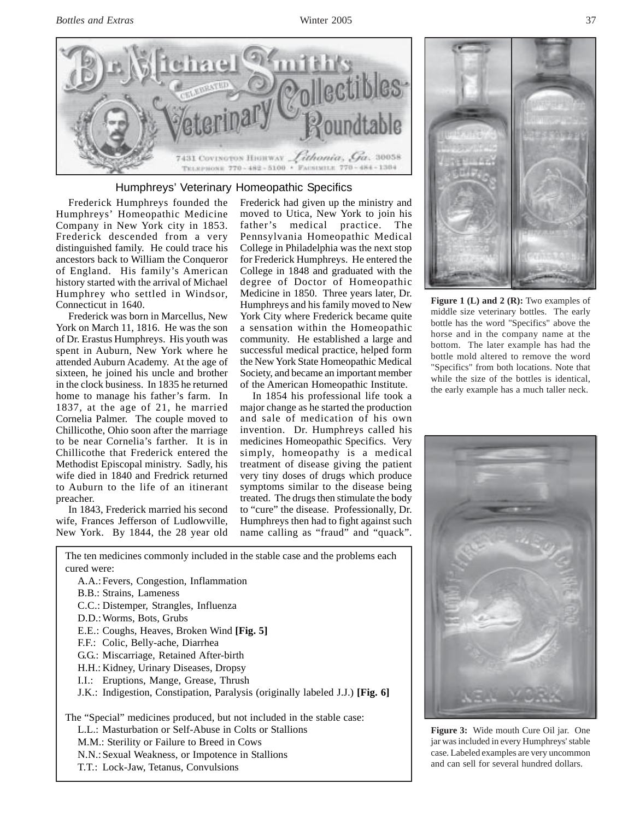

## Humphreys' Veterinary Homeopathic Specifics

Frederick Humphreys founded the Humphreys' Homeopathic Medicine Company in New York city in 1853. Frederick descended from a very distinguished family. He could trace his ancestors back to William the Conqueror of England. His family's American history started with the arrival of Michael Humphrey who settled in Windsor, Connecticut in 1640.

Frederick was born in Marcellus, New York on March 11, 1816. He was the son of Dr. Erastus Humphreys. His youth was spent in Auburn, New York where he attended Auburn Academy. At the age of sixteen, he joined his uncle and brother in the clock business. In 1835 he returned home to manage his father's farm. In 1837, at the age of 21, he married Cornelia Palmer. The couple moved to Chillicothe, Ohio soon after the marriage to be near Cornelia's farther. It is in Chillicothe that Frederick entered the Methodist Episcopal ministry. Sadly, his wife died in 1840 and Fredrick returned to Auburn to the life of an itinerant preacher.

In 1843, Frederick married his second wife, Frances Jefferson of Ludlowville, New York. By 1844, the 28 year old Frederick had given up the ministry and moved to Utica, New York to join his father's medical practice. The Pennsylvania Homeopathic Medical College in Philadelphia was the next stop for Frederick Humphreys. He entered the College in 1848 and graduated with the degree of Doctor of Homeopathic Medicine in 1850. Three years later, Dr. Humphreys and his family moved to New York City where Frederick became quite a sensation within the Homeopathic community. He established a large and successful medical practice, helped form the New York State Homeopathic Medical Society, and became an important member of the American Homeopathic Institute.

In 1854 his professional life took a major change as he started the production and sale of medication of his own invention. Dr. Humphreys called his medicines Homeopathic Specifics. Very simply, homeopathy is a medical treatment of disease giving the patient very tiny doses of drugs which produce symptoms similar to the disease being treated. The drugs then stimulate the body to "cure" the disease. Professionally, Dr. Humphreys then had to fight against such name calling as "fraud" and "quack".



Figure 1 (L) and 2 (R): Two examples of middle size veterinary bottles. The early bottle has the word "Specifics" above the horse and in the company name at the bottom. The later example has had the bottle mold altered to remove the word "Specifics" from both locations. Note that while the size of the bottles is identical, the early example has a much taller neck.



**Figure 3:** Wide mouth Cure Oil jar. One jar was included in every Humphreys' stable case. Labeled examples are very uncommon and can sell for several hundred dollars.

cured were: A.A.:Fevers, Congestion, Inflammation B.B.: Strains, Lameness C.C.: Distemper, Strangles, Influenza D.D.:Worms, Bots, Grubs E.E.: Coughs, Heaves, Broken Wind **[Fig. 5]** F.F.: Colic, Belly-ache, Diarrhea G.G.: Miscarriage, Retained After-birth

The ten medicines commonly included in the stable case and the problems each

- H.H.: Kidney, Urinary Diseases, Dropsy
- I.I.: Eruptions, Mange, Grease, Thrush
- J.K.: Indigestion, Constipation, Paralysis (originally labeled J.J.) **[Fig. 6]**

The "Special" medicines produced, but not included in the stable case:

- L.L.: Masturbation or Self-Abuse in Colts or Stallions
- M.M.: Sterility or Failure to Breed in Cows

N.N.:Sexual Weakness, or Impotence in Stallions

T.T.: Lock-Jaw, Tetanus, Convulsions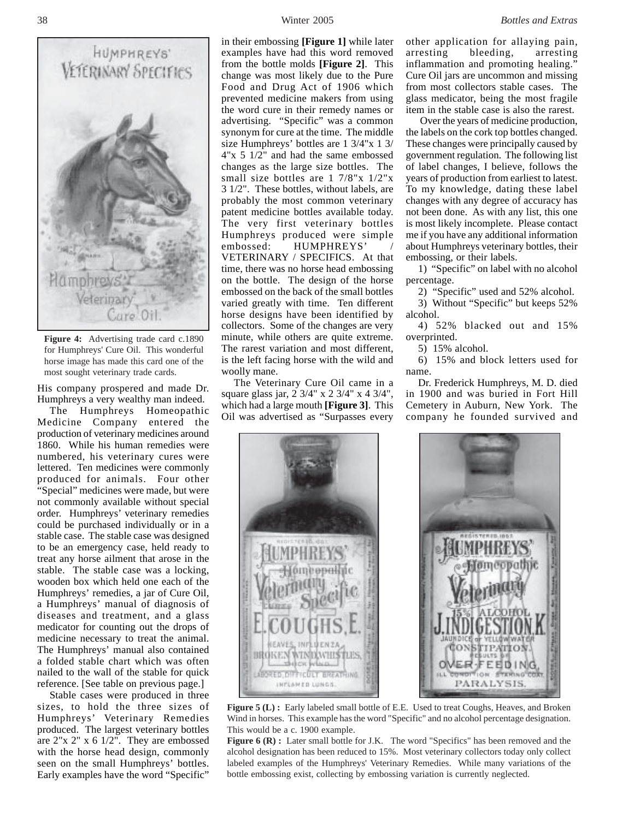

**Figure 4:** Advertising trade card c.1890 for Humphreys' Cure Oil. This wonderful horse image has made this card one of the most sought veterinary trade cards.

His company prospered and made Dr. Humphreys a very wealthy man indeed.

The Humphreys Homeopathic Medicine Company entered the production of veterinary medicines around 1860. While his human remedies were numbered, his veterinary cures were lettered. Ten medicines were commonly produced for animals. Four other "Special" medicines were made, but were not commonly available without special order. Humphreys' veterinary remedies could be purchased individually or in a stable case. The stable case was designed to be an emergency case, held ready to treat any horse ailment that arose in the stable. The stable case was a locking, wooden box which held one each of the Humphreys' remedies, a jar of Cure Oil, a Humphreys' manual of diagnosis of diseases and treatment, and a glass medicator for counting out the drops of medicine necessary to treat the animal. The Humphreys' manual also contained a folded stable chart which was often nailed to the wall of the stable for quick reference. [See table on previous page.]

Stable cases were produced in three sizes, to hold the three sizes of Humphreys' Veterinary Remedies produced. The largest veterinary bottles are 2"x 2" x 6 1/2". They are embossed with the horse head design, commonly seen on the small Humphreys' bottles. Early examples have the word "Specific"

in their embossing **[Figure 1]** while later examples have had this word removed from the bottle molds **[Figure 2]**. This change was most likely due to the Pure Food and Drug Act of 1906 which prevented medicine makers from using the word cure in their remedy names or advertising. "Specific" was a common synonym for cure at the time. The middle size Humphreys' bottles are 1 3/4"x 1 3/ 4"x 5 1/2" and had the same embossed changes as the large size bottles. The small size bottles are 1 7/8"x 1/2"x 3 1/2". These bottles, without labels, are probably the most common veterinary patent medicine bottles available today. The very first veterinary bottles Humphreys produced were simple embossed: HUMPHREYS' VETERINARY / SPECIFICS. At that time, there was no horse head embossing on the bottle. The design of the horse embossed on the back of the small bottles varied greatly with time. Ten different horse designs have been identified by collectors. Some of the changes are very minute, while others are quite extreme. The rarest variation and most different, is the left facing horse with the wild and woolly mane.

The Veterinary Cure Oil came in a square glass jar, 2 3/4" x 2 3/4" x 4 3/4", which had a large mouth **[Figure 3]**. This Oil was advertised as "Surpasses every



other application for allaying pain, arresting bleeding, arresting inflammation and promoting healing." Cure Oil jars are uncommon and missing from most collectors stable cases. The glass medicator, being the most fragile item in the stable case is also the rarest.

 Over the years of medicine production, the labels on the cork top bottles changed. These changes were principally caused by government regulation. The following list of label changes, I believe, follows the years of production from earliest to latest. To my knowledge, dating these label changes with any degree of accuracy has not been done. As with any list, this one is most likely incomplete. Please contact me if you have any additional information about Humphreys veterinary bottles, their embossing, or their labels.

1) "Specific" on label with no alcohol percentage.

2) "Specific" used and 52% alcohol.

3) Without "Specific" but keeps 52% alcohol.

4) 52% blacked out and 15% overprinted.

5) 15% alcohol.

6) 15% and block letters used for name.

Dr. Frederick Humphreys, M. D. died in 1900 and was buried in Fort Hill Cemetery in Auburn, New York. The company he founded survived and



**Figure 5 (L):** Early labeled small bottle of E.E. Used to treat Coughs, Heaves, and Broken Wind in horses. This example has the word "Specific" and no alcohol percentage designation. This would be a c. 1900 example.

Figure 6 (R) : Later small bottle for J.K. The word "Specifics" has been removed and the alcohol designation has been reduced to 15%. Most veterinary collectors today only collect labeled examples of the Humphreys' Veterinary Remedies. While many variations of the bottle embossing exist, collecting by embossing variation is currently neglected.